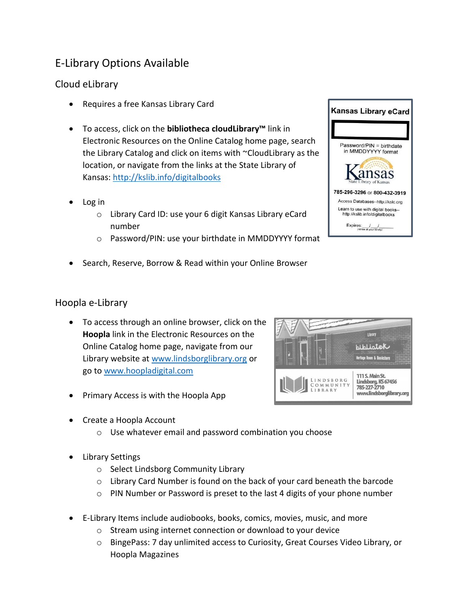## E-Library Options Available

## Cloud eLibrary

- Requires a free Kansas Library Card
- To access, click on the **bibliotheca cloudLibrary™** link in Electronic Resources on the Online Catalog home page, search the Library Catalog and click on items with ~CloudLibrary as the location, or navigate from the links at the State Library of Kansas:<http://kslib.info/digitalbooks>
- Log in
	- o Library Card ID: use your 6 digit Kansas Library eCard number
	- o Password/PIN: use your birthdate in MMDDYYYY format
- Search, Reserve, Borrow & Read within your Online Browser

## Hoopla e-Library

- To access through an online browser, click on the **Hoopla** link in the Electronic Resources on the Online Catalog home page, navigate from our Library website at [www.lindsborglibrary.org](http://www.lindsborglibrary.org/) or go to [www.hoopladigital.com](http://www.hoopladigital.com/)
- Primary Access is with the Hoopla App
- Create a Hoopla Account
	- o Use whatever email and password combination you choose
- Library Settings
	- o Select Lindsborg Community Library
	- $\circ$  Library Card Number is found on the back of your card beneath the barcode
	- o PIN Number or Password is preset to the last 4 digits of your phone number
- E-Library Items include audiobooks, books, comics, movies, music, and more
	- o Stream using internet connection or download to your device
	- o BingePass: 7 day unlimited access to Curiosity, Great Courses Video Library, or Hoopla Magazines